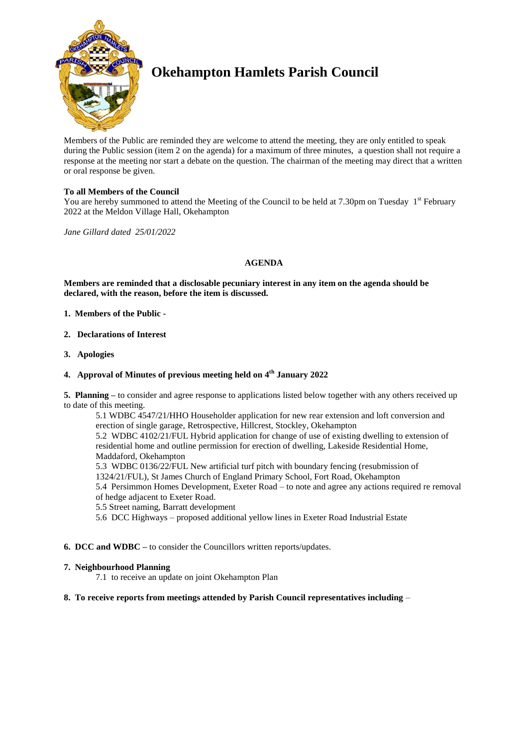

# **Okehampton Hamlets Parish Council**

Members of the Public are reminded they are welcome to attend the meeting, they are only entitled to speak during the Public session (item 2 on the agenda) for a maximum of three minutes, a question shall not require a response at the meeting nor start a debate on the question. The chairman of the meeting may direct that a written or oral response be given.

## **To all Members of the Council**

You are hereby summoned to attend the Meeting of the Council to be held at 7.30pm on Tuesday 1<sup>st</sup> February 2022 at the Meldon Village Hall, Okehampton

*Jane Gillard dated 25/01/2022*

## **AGENDA**

**Members are reminded that a disclosable pecuniary interest in any item on the agenda should be declared, with the reason, before the item is discussed.** 

- **1. Members of the Public -**
- **2. Declarations of Interest**
- **3. Apologies**

## **4. Approval of Minutes of previous meeting held on 4 th January 2022**

**5. Planning –** to consider and agree response to applications listed below together with any others received up to date of this meeting.

5.1 WDBC 4547/21/HHO Householder application for new rear extension and loft conversion and erection of single garage, Retrospective, Hillcrest, Stockley, Okehampton 5.2 WDBC 4102/21/FUL Hybrid application for change of use of existing dwelling to extension of residential home and outline permission for erection of dwelling, Lakeside Residential Home, Maddaford, Okehampton 5.3 WDBC 0136/22/FUL New artificial turf pitch with boundary fencing (resubmission of 1324/21/FUL), St James Church of England Primary School, Fort Road, Okehampton

5.4 Persimmon Homes Development, Exeter Road – to note and agree any actions required re removal of hedge adjacent to Exeter Road.

5.5 Street naming, Barratt development

- 5.6 DCC Highways proposed additional yellow lines in Exeter Road Industrial Estate
- **6. DCC and WDBC –** to consider the Councillors written reports/updates.

## **7. Neighbourhood Planning**

7.1 to receive an update on joint Okehampton Plan

## **8. To receive reports from meetings attended by Parish Council representatives including** –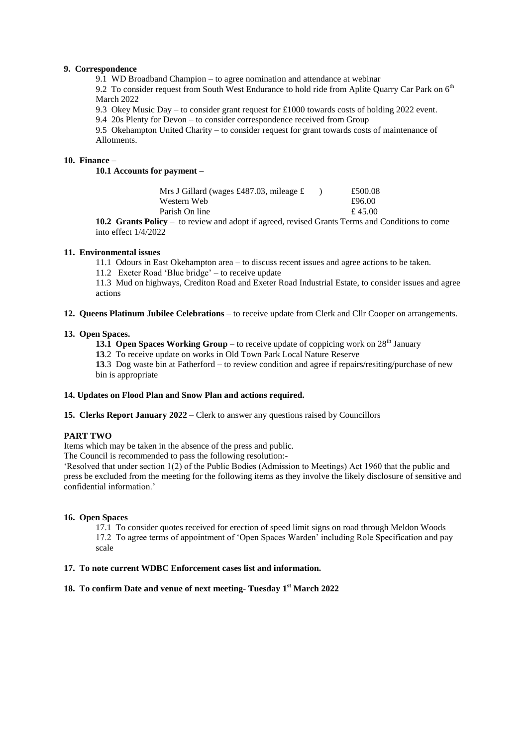#### **9. Correspondence**

9.1 WD Broadband Champion – to agree nomination and attendance at webinar

9.2 To consider request from South West Endurance to hold ride from Aplite Quarry Car Park on 6<sup>th</sup> March 2022

9.3 Okey Music Day – to consider grant request for £1000 towards costs of holding 2022 event.

9.4 20s Plenty for Devon – to consider correspondence received from Group

9.5 Okehampton United Charity – to consider request for grant towards costs of maintenance of Allotments.

## **10. Finance** –

**10.1 Accounts for payment –**

| Mrs J Gillard (wages £487.03, mileage $\pounds$ | £500.08 |
|-------------------------------------------------|---------|
| Western Web                                     | £96.00  |
| Parish On line                                  | £ 45.00 |

**10.2 Grants Policy** – to review and adopt if agreed, revised Grants Terms and Conditions to come into effect 1/4/2022

## **11. Environmental issues**

11.1 Odours in East Okehampton area – to discuss recent issues and agree actions to be taken.

11.2 Exeter Road 'Blue bridge' – to receive update

11.3 Mud on highways, Crediton Road and Exeter Road Industrial Estate, to consider issues and agree actions

**12. Queens Platinum Jubilee Celebrations** – to receive update from Clerk and Cllr Cooper on arrangements.

#### **13. Open Spaces.**

**13.1 Open Spaces Working Group** – to receive update of coppicing work on  $28<sup>th</sup>$  January

**13**.2 To receive update on works in Old Town Park Local Nature Reserve

**13**.3 Dog waste bin at Fatherford – to review condition and agree if repairs/resiting/purchase of new bin is appropriate

## **14. Updates on Flood Plan and Snow Plan and actions required.**

**15. Clerks Report January 2022** – Clerk to answer any questions raised by Councillors

## **PART TWO**

Items which may be taken in the absence of the press and public.

The Council is recommended to pass the following resolution:-

'Resolved that under section 1(2) of the Public Bodies (Admission to Meetings) Act 1960 that the public and press be excluded from the meeting for the following items as they involve the likely disclosure of sensitive and confidential information.'

## **16. Open Spaces**

17.1 To consider quotes received for erection of speed limit signs on road through Meldon Woods 17.2 To agree terms of appointment of 'Open Spaces Warden' including Role Specification and pay scale

## **17. To note current WDBC Enforcement cases list and information.**

# **18. To confirm Date and venue of next meeting- Tuesday 1 st March 2022**